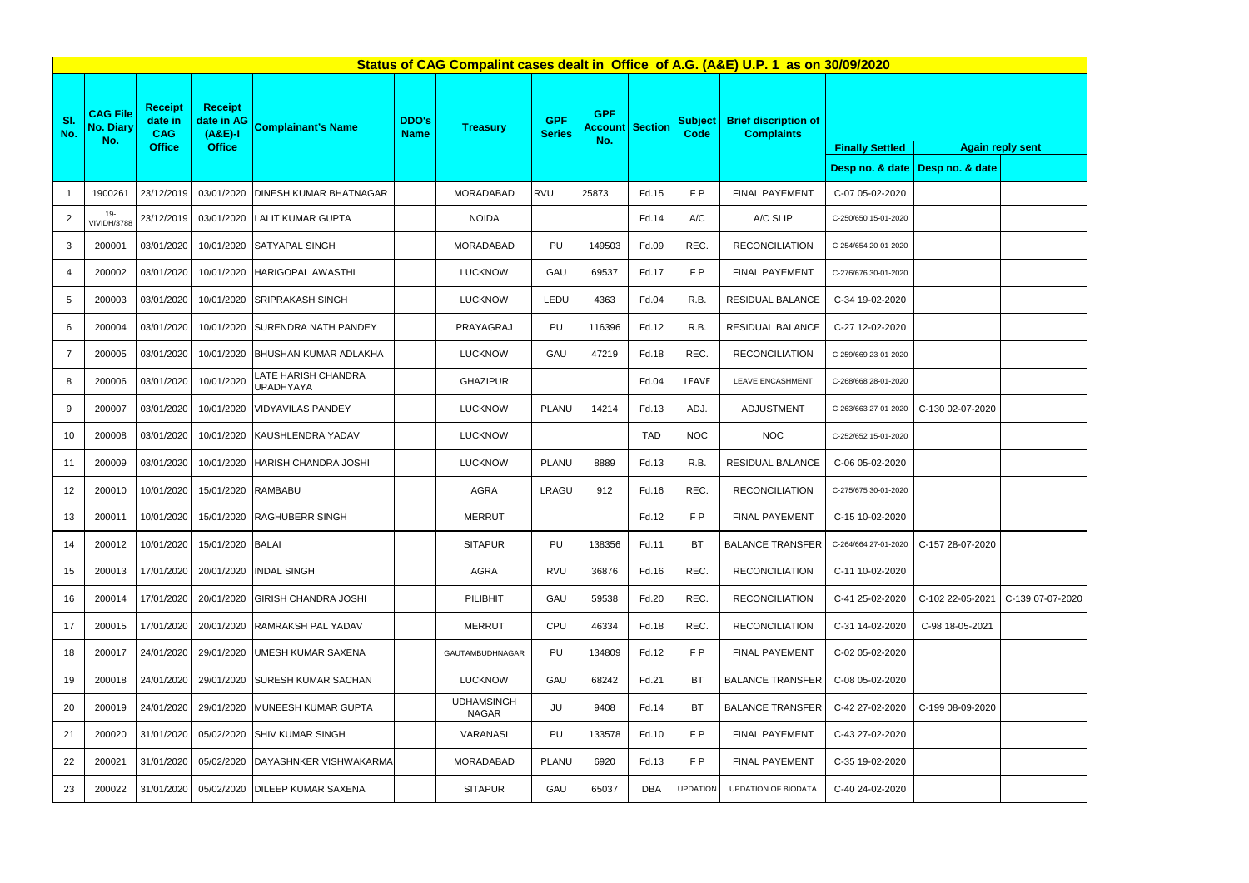|                | Status of CAG Compalint cases dealt in Office of A.G. (A&E) U.P. 1 as on 30/09/2020 |                                         |                                           |                                           |                                                                                                                              |                                   |              |                               |                                                  |                 |                            |                        |                                   |
|----------------|-------------------------------------------------------------------------------------|-----------------------------------------|-------------------------------------------|-------------------------------------------|------------------------------------------------------------------------------------------------------------------------------|-----------------------------------|--------------|-------------------------------|--------------------------------------------------|-----------------|----------------------------|------------------------|-----------------------------------|
| SI.<br>No.     | <b>CAG File</b><br><b>No. Diary</b><br>No.                                          | <b>Receipt</b><br>date in<br><b>CAG</b> | <b>Receipt</b><br>date in AG<br>$(A&E)-I$ | <b>Complainant's Name</b>                 | <b>GPF</b><br><b>GPF</b><br><b>DDO's</b><br><b>Account Section</b><br><b>Treasury</b><br><b>Name</b><br><b>Series</b><br>No. |                                   |              | <b>Subject</b><br><b>Code</b> | <b>Brief discription of</b><br><b>Complaints</b> |                 |                            |                        |                                   |
|                |                                                                                     | <b>Office</b>                           | <b>Office</b>                             |                                           |                                                                                                                              |                                   |              |                               |                                                  |                 |                            | <b>Finally Settled</b> | <b>Again r</b>                    |
|                |                                                                                     |                                         |                                           |                                           |                                                                                                                              |                                   |              |                               |                                                  |                 |                            |                        | Desp no. & date   Desp no. & date |
| $\overline{1}$ | 1900261                                                                             | 23/12/2019                              |                                           | 03/01/2020 DINESH KUMAR BHATNAGAR         |                                                                                                                              | MORADABAD                         | <b>RVU</b>   | 25873                         | Fd.15                                            | FP              | <b>FINAL PAYEMENT</b>      | C-07 05-02-2020        |                                   |
| 2              | 19-<br>VIVIDH/3788                                                                  | 23/12/2019                              |                                           | 03/01/2020 LALIT KUMAR GUPTA              |                                                                                                                              | <b>NOIDA</b>                      |              |                               | Fd.14                                            | A/C             | A/C SLIP                   | C-250/650 15-01-2020   |                                   |
| 3              | 200001                                                                              | 03/01/2020                              |                                           | 10/01/2020 SATYAPAL SINGH                 |                                                                                                                              | <b>MORADABAD</b>                  | PU           | 149503                        | Fd.09                                            | REC.            | <b>RECONCILIATION</b>      | C-254/654 20-01-2020   |                                   |
| 4              | 200002                                                                              | 03/01/2020                              |                                           | 10/01/2020 HARIGOPAL AWASTHI              |                                                                                                                              | <b>LUCKNOW</b>                    | GAU          | 69537                         | Fd.17                                            | FP              | FINAL PAYEMENT             | C-276/676 30-01-2020   |                                   |
| 5              | 200003                                                                              | 03/01/2020                              |                                           | 10/01/2020 SRIPRAKASH SINGH               |                                                                                                                              | <b>LUCKNOW</b>                    | LEDU         | 4363                          | Fd.04                                            | R.B.            | <b>RESIDUAL BALANCE</b>    | C-34 19-02-2020        |                                   |
| 6              | 200004                                                                              | 03/01/2020                              |                                           | 10/01/2020 SURENDRA NATH PANDEY           |                                                                                                                              | PRAYAGRAJ                         | PU           | 116396                        | Fd.12                                            | R.B.            | RESIDUAL BALANCE           | C-27 12-02-2020        |                                   |
| 7              | 200005                                                                              | 03/01/2020                              |                                           | 10/01/2020 BHUSHAN KUMAR ADLAKHA          |                                                                                                                              | <b>LUCKNOW</b>                    | GAU          | 47219                         | Fd.18                                            | REC.            | <b>RECONCILIATION</b>      | C-259/669 23-01-2020   |                                   |
| 8              | 200006                                                                              | 03/01/2020                              | 10/01/2020                                | LATE HARISH CHANDRA<br><b>UPADHYAYA</b>   |                                                                                                                              | <b>GHAZIPUR</b>                   |              |                               | Fd.04                                            | LEAVE           | LEAVE ENCASHMENT           | C-268/668 28-01-2020   |                                   |
| 9              | 200007                                                                              | 03/01/2020                              |                                           | 10/01/2020   VIDYAVILAS PANDEY            |                                                                                                                              | <b>LUCKNOW</b>                    | <b>PLANU</b> | 14214                         | Fd.13                                            | ADJ.            | ADJUSTMENT                 | C-263/663 27-01-2020   | C-130 02-07-2020                  |
| 10             | 200008                                                                              | 03/01/2020                              |                                           | 10/01/2020 KAUSHLENDRA YADAV              |                                                                                                                              | <b>LUCKNOW</b>                    |              |                               | <b>TAD</b>                                       | <b>NOC</b>      | <b>NOC</b>                 | C-252/652 15-01-2020   |                                   |
| 11             | 200009                                                                              | 03/01/2020                              |                                           | 10/01/2020 HARISH CHANDRA JOSHI           |                                                                                                                              | <b>LUCKNOW</b>                    | PLANU        | 8889                          | Fd.13                                            | R.B.            | RESIDUAL BALANCE           | C-06 05-02-2020        |                                   |
| 12             | 200010                                                                              | 10/01/2020                              | 15/01/2020 RAMBABU                        |                                           |                                                                                                                              | <b>AGRA</b>                       | LRAGU        | 912                           | Fd.16                                            | REC.            | <b>RECONCILIATION</b>      | C-275/675 30-01-2020   |                                   |
| 13             | 200011                                                                              |                                         |                                           | 10/01/2020   15/01/2020   RAGHUBERR SINGH |                                                                                                                              | <b>MERRUT</b>                     |              |                               | Fd.12                                            | F P             | <b>FINAL PAYEMENT</b>      | C-15 10-02-2020        |                                   |
| 14             | 200012                                                                              | 10/01/2020                              | 15/01/2020 BALAI                          |                                           |                                                                                                                              | <b>SITAPUR</b>                    | PU           | 138356                        | Fd.11                                            | ВT              | <b>BALANCE TRANSFER</b>    | C-264/664 27-01-2020   | C-157 28-07-2020                  |
| 15             | 200013                                                                              | 17/01/2020                              |                                           | 20/01/2020 INDAL SINGH                    |                                                                                                                              | <b>AGRA</b>                       | <b>RVU</b>   | 36876                         | Fd.16                                            | REC.            | <b>RECONCILIATION</b>      | C-11 10-02-2020        |                                   |
| 16             | 200014                                                                              | 17/01/2020                              |                                           | 20/01/2020 GIRISH CHANDRA JOSHI           |                                                                                                                              | PILIBHIT                          | GAU          | 59538                         | Fd.20                                            | REC.            | <b>RECONCILIATION</b>      | C-41 25-02-2020        | C-102 22-05-2021                  |
| 17             | 200015                                                                              | 17/01/2020                              |                                           | 20/01/2020 RAMRAKSH PAL YADAV             |                                                                                                                              | <b>MERRUT</b>                     | <b>CPU</b>   | 46334                         | Fd.18                                            | REC.            | <b>RECONCILIATION</b>      | C-31 14-02-2020        | C-98 18-05-2021                   |
| 18             | 200017                                                                              | 24/01/2020                              |                                           | 29/01/2020 UMESH KUMAR SAXENA             |                                                                                                                              | <b>GAUTAMBUDHNAGAR</b>            | PU           | 134809                        | Fd.12                                            | FP              | <b>FINAL PAYEMENT</b>      | C-02 05-02-2020        |                                   |
| 19             | 200018                                                                              | 24/01/2020                              |                                           | 29/01/2020 SURESH KUMAR SACHAN            |                                                                                                                              | <b>LUCKNOW</b>                    | GAU          | 68242                         | Fd.21                                            | <b>BT</b>       | <b>BALANCE TRANSFER</b>    | C-08 05-02-2020        |                                   |
| 20             | 200019                                                                              | 24/01/2020                              |                                           | 29/01/2020 MUNEESH KUMAR GUPTA            |                                                                                                                              | <b>UDHAMSINGH</b><br><b>NAGAR</b> | JU           | 9408                          | Fd.14                                            | <b>BT</b>       | <b>BALANCE TRANSFER</b>    | C-42 27-02-2020        | C-199 08-09-2020                  |
| 21             | 200020                                                                              | 31/01/2020                              |                                           | 05/02/2020 SHIV KUMAR SINGH               |                                                                                                                              | <b>VARANASI</b>                   | PU           | 133578                        | Fd.10                                            | FP              | FINAL PAYEMENT             | C-43 27-02-2020        |                                   |
| 22             | 200021                                                                              | 31/01/2020                              |                                           | 05/02/2020 DAYASHNKER VISHWAKARMA         |                                                                                                                              | <b>MORADABAD</b>                  | <b>PLANU</b> | 6920                          | Fd.13                                            | F P             | <b>FINAL PAYEMENT</b>      | C-35 19-02-2020        |                                   |
| 23             | 200022                                                                              | 31/01/2020                              |                                           | 05/02/2020 DILEEP KUMAR SAXENA            |                                                                                                                              | <b>SITAPUR</b>                    | GAU          | 65037                         | DBA                                              | <b>UPDATION</b> | <b>UPDATION OF BIODATA</b> | C-40 24-02-2020        |                                   |

| d  |                  | <b>Again reply sent</b> |
|----|------------------|-------------------------|
| te | Desp no. & date  |                         |
| 0  |                  |                         |
| 20 |                  |                         |
| 20 |                  |                         |
| 20 |                  |                         |
| 0  |                  |                         |
| 0  |                  |                         |
| 20 |                  |                         |
| 20 |                  |                         |
| 20 | C-130 02-07-2020 |                         |
| 20 |                  |                         |
| 0  |                  |                         |
| 20 |                  |                         |
| 0  |                  |                         |
| 20 | C-157 28-07-2020 |                         |
| 0  |                  |                         |
| 0  | C-102 22-05-2021 | C-139 07-07-2020        |
| 0  | C-98 18-05-2021  |                         |
| 0  |                  |                         |
| 0  |                  |                         |
| 0  | C-199 08-09-2020 |                         |
| 0  |                  |                         |
| 0  |                  |                         |
| 0  |                  |                         |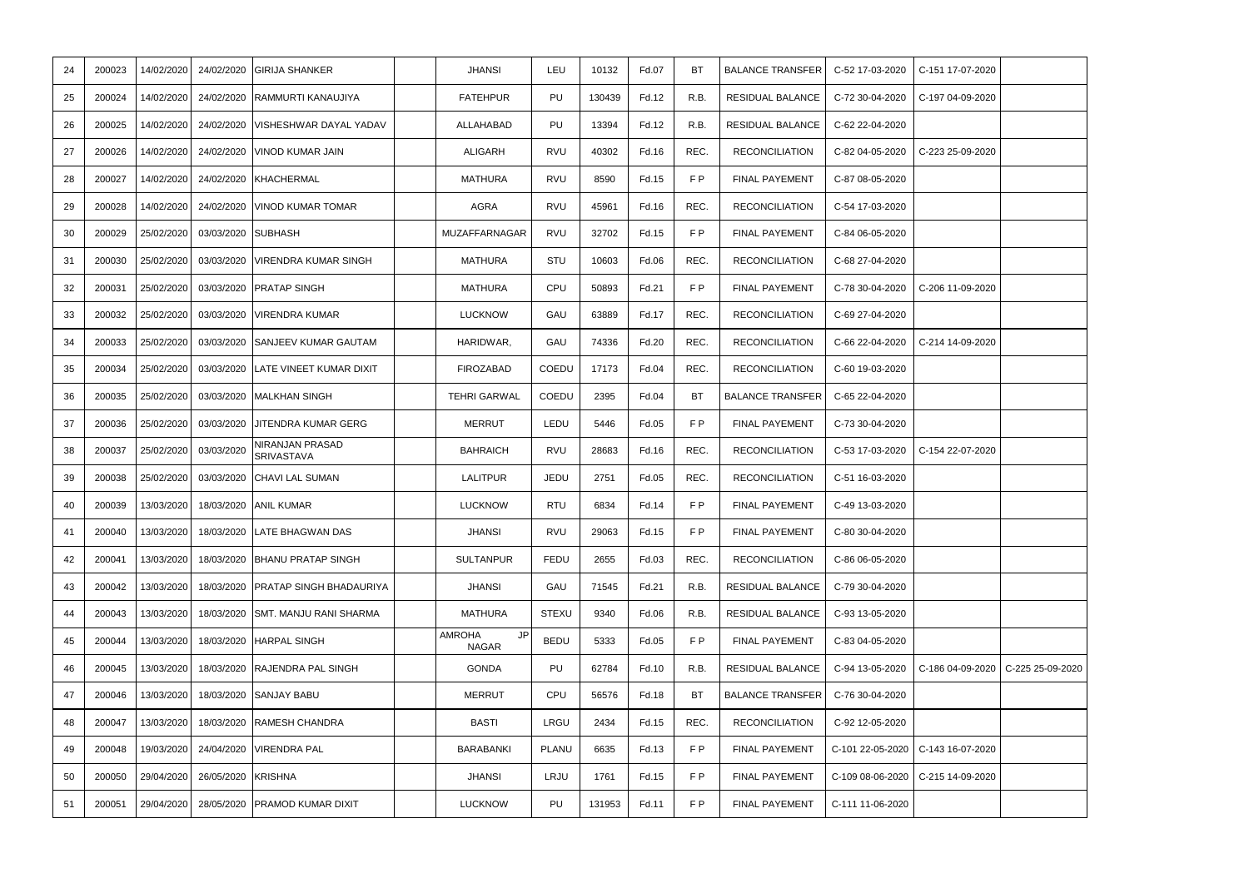| 17-03-2020 | C-151 17-07-2020 |                  |
|------------|------------------|------------------|
| 30-04-2020 | C-197 04-09-2020 |                  |
| 22-04-2020 |                  |                  |
| 04-05-2020 | C-223 25-09-2020 |                  |
| 08-05-2020 |                  |                  |
| 17-03-2020 |                  |                  |
| 06-05-2020 |                  |                  |
| 27-04-2020 |                  |                  |
| 30-04-2020 | C-206 11-09-2020 |                  |
| 27-04-2020 |                  |                  |
| 22-04-2020 | C-214 14-09-2020 |                  |
| 19-03-2020 |                  |                  |
| 22-04-2020 |                  |                  |
| 30-04-2020 |                  |                  |
| 17-03-2020 | C-154 22-07-2020 |                  |
| 16-03-2020 |                  |                  |
| 13-03-2020 |                  |                  |
| 80-04-2020 |                  |                  |
| 06-05-2020 |                  |                  |
| 30-04-2020 |                  |                  |
| 13-05-2020 |                  |                  |
| 04-05-2020 |                  |                  |
| 13-05-2020 | C-186 04-09-2020 | C-225 25-09-2020 |
| 30-04-2020 |                  |                  |
| 12-05-2020 |                  |                  |
| 22-05-2020 | C-143 16-07-2020 |                  |
| 08-06-2020 | C-215 14-09-2020 |                  |
| 11-06-2020 |                  |                  |
|            |                  |                  |

| 24 | 200023 | 14/02/2020 | 24/02/2020 | <b>GIRIJA SHANKER</b>                | <b>JHANSI</b>                       | LEU          | 10132  | Fd.07 | <b>BT</b> | <b>BALANCE TRANSFER</b> | C-52 17-03-2020  | C-151 17-07-2020 |                  |
|----|--------|------------|------------|--------------------------------------|-------------------------------------|--------------|--------|-------|-----------|-------------------------|------------------|------------------|------------------|
| 25 | 200024 | 14/02/2020 | 24/02/2020 | RAMMURTI KANAUJIYA                   | <b>FATEHPUR</b>                     | PU           | 130439 | Fd.12 | R.B.      | <b>RESIDUAL BALANCE</b> | C-72 30-04-2020  | C-197 04-09-2020 |                  |
| 26 | 200025 | 14/02/2020 | 24/02/2020 | VISHESHWAR DAYAL YADAV               | ALLAHABAD                           | PU           | 13394  | Fd.12 | R.B.      | <b>RESIDUAL BALANCE</b> | C-62 22-04-2020  |                  |                  |
| 27 | 200026 | 14/02/2020 | 24/02/2020 | VINOD KUMAR JAIN                     | ALIGARH                             | RVU          | 40302  | Fd.16 | REC.      | <b>RECONCILIATION</b>   | C-82 04-05-2020  | C-223 25-09-2020 |                  |
| 28 | 200027 | 14/02/2020 | 24/02/2020 | <b>KHACHERMAL</b>                    | MATHURA                             | <b>RVU</b>   | 8590   | Fd.15 | FP        | FINAL PAYEMENT          | C-87 08-05-2020  |                  |                  |
| 29 | 200028 | 14/02/2020 | 24/02/2020 | VINOD KUMAR TOMAR                    | AGRA                                | <b>RVU</b>   | 45961  | Fd.16 | REC.      | <b>RECONCILIATION</b>   | C-54 17-03-2020  |                  |                  |
| 30 | 200029 | 25/02/2020 | 03/03/2020 | <b>SUBHASH</b>                       | MUZAFFARNAGAR                       | <b>RVU</b>   | 32702  | Fd.15 | F P       | <b>FINAL PAYEMENT</b>   | C-84 06-05-2020  |                  |                  |
| 31 | 200030 | 25/02/2020 | 03/03/2020 | <b>VIRENDRA KUMAR SINGH</b>          | MATHURA                             | STU          | 10603  | Fd.06 | REC.      | <b>RECONCILIATION</b>   | C-68 27-04-2020  |                  |                  |
| 32 | 200031 | 25/02/2020 | 03/03/2020 | <b>PRATAP SINGH</b>                  | MATHURA                             | CPU          | 50893  | Fd.21 | FP        | <b>FINAL PAYEMENT</b>   | C-78 30-04-2020  | C-206 11-09-2020 |                  |
| 33 | 200032 | 25/02/2020 | 03/03/2020 | VIRENDRA KUMAR                       | <b>LUCKNOW</b>                      | GAU          | 63889  | Fd.17 | REC.      | <b>RECONCILIATION</b>   | C-69 27-04-2020  |                  |                  |
| 34 | 200033 | 25/02/2020 | 03/03/2020 | <b>SANJEEV KUMAR GAUTAM</b>          | HARIDWAR,                           | GAU          | 74336  | Fd.20 | REC.      | <b>RECONCILIATION</b>   | C-66 22-04-2020  | C-214 14-09-2020 |                  |
| 35 | 200034 | 25/02/2020 | 03/03/2020 | LATE VINEET KUMAR DIXIT              | <b>FIROZABAD</b>                    | COEDU        | 17173  | Fd.04 | REC.      | <b>RECONCILIATION</b>   | C-60 19-03-2020  |                  |                  |
| 36 | 200035 | 25/02/2020 | 03/03/2020 | <b>MALKHAN SINGH</b>                 | <b>TEHRI GARWAL</b>                 | COEDU        | 2395   | Fd.04 | BT.       | <b>BALANCE TRANSFER</b> | C-65 22-04-2020  |                  |                  |
| 37 | 200036 | 25/02/2020 | 03/03/2020 | JITENDRA KUMAR GERG                  | MERRUT                              | LEDU         | 5446   | Fd.05 | FP        | FINAL PAYEMENT          | C-73 30-04-2020  |                  |                  |
| 38 | 200037 | 25/02/2020 | 03/03/2020 | NIRANJAN PRASAD<br><b>SRIVASTAVA</b> | <b>BAHRAICH</b>                     | <b>RVU</b>   | 28683  | Fd.16 | REC.      | <b>RECONCILIATION</b>   | C-53 17-03-2020  | C-154 22-07-2020 |                  |
| 39 | 200038 | 25/02/2020 | 03/03/2020 | <b>CHAVI LAL SUMAN</b>               | <b>LALITPUR</b>                     | JEDU         | 2751   | Fd.05 | REC.      | <b>RECONCILIATION</b>   | C-51 16-03-2020  |                  |                  |
| 40 | 200039 | 13/03/2020 | 18/03/2020 | <b>ANIL KUMAR</b>                    | <b>LUCKNOW</b>                      | <b>RTU</b>   | 6834   | Fd.14 | FP        | <b>FINAL PAYEMENT</b>   | C-49 13-03-2020  |                  |                  |
| 41 | 200040 | 13/03/2020 | 18/03/2020 | LATE BHAGWAN DAS                     | <b>JHANSI</b>                       | RVU          | 29063  | Fd.15 | F P       | <b>FINAL PAYEMENT</b>   | C-80 30-04-2020  |                  |                  |
| 42 | 200041 | 13/03/2020 | 18/03/2020 | BHANU PRATAP SINGH                   | <b>SULTANPUR</b>                    | FEDU         | 2655   | Fd.03 | REC.      | <b>RECONCILIATION</b>   | C-86 06-05-2020  |                  |                  |
| 43 | 200042 | 13/03/2020 | 18/03/2020 | PRATAP SINGH BHADAURIYA              | <b>JHANSI</b>                       | GAU          | 71545  | Fd.21 | R.B.      | <b>RESIDUAL BALANCE</b> | C-79 30-04-2020  |                  |                  |
| 44 | 200043 | 13/03/2020 | 18/03/2020 | <b>SMT. MANJU RANI SHARMA</b>        | <b>MATHURA</b>                      | <b>STEXU</b> | 9340   | Fd.06 | R.B.      | RESIDUAL BALANCE        | C-93 13-05-2020  |                  |                  |
| 45 | 200044 | 13/03/2020 | 18/03/2020 | <b>HARPAL SINGH</b>                  | <b>AMROHA</b><br>JP<br><b>NAGAR</b> | <b>BEDU</b>  | 5333   | Fd.05 | F P       | <b>FINAL PAYEMENT</b>   | C-83 04-05-2020  |                  |                  |
| 46 | 200045 | 13/03/2020 | 18/03/2020 | <b>RAJENDRA PAL SINGH</b>            | <b>GONDA</b>                        | PU           | 62784  | Fd.10 | R.B.      | <b>RESIDUAL BALANCE</b> | C-94 13-05-2020  | C-186 04-09-2020 | C-225 25-09-2020 |
| 47 | 200046 | 13/03/2020 | 18/03/2020 | <b>SANJAY BABU</b>                   | MERRUT                              | CPU          | 56576  | Fd.18 | <b>BT</b> | <b>BALANCE TRANSFER</b> | C-76 30-04-2020  |                  |                  |
| 48 | 200047 | 13/03/2020 | 18/03/2020 | <b>RAMESH CHANDRA</b>                | <b>BASTI</b>                        | LRGU         | 2434   | Fd.15 | REC.      | <b>RECONCILIATION</b>   | C-92 12-05-2020  |                  |                  |
| 49 | 200048 | 19/03/2020 | 24/04/2020 | <b>VIRENDRA PAL</b>                  | BARABANKI                           | PLANU        | 6635   | Fd.13 | FP        | FINAL PAYEMENT          | C-101 22-05-2020 | C-143 16-07-2020 |                  |
| 50 | 200050 | 29/04/2020 | 26/05/2020 | <b>KRISHNA</b>                       | <b>JHANSI</b>                       | LRJU         | 1761   | Fd.15 | F P       | FINAL PAYEMENT          | C-109 08-06-2020 | C-215 14-09-2020 |                  |
| 51 | 200051 | 29/04/2020 | 28/05/2020 | <b>PRAMOD KUMAR DIXIT</b>            | <b>LUCKNOW</b>                      | PU           | 131953 | Fd.11 | FP        | FINAL PAYEMENT          | C-111 11-06-2020 |                  |                  |
|    |        |            |            |                                      |                                     |              |        |       |           |                         |                  |                  |                  |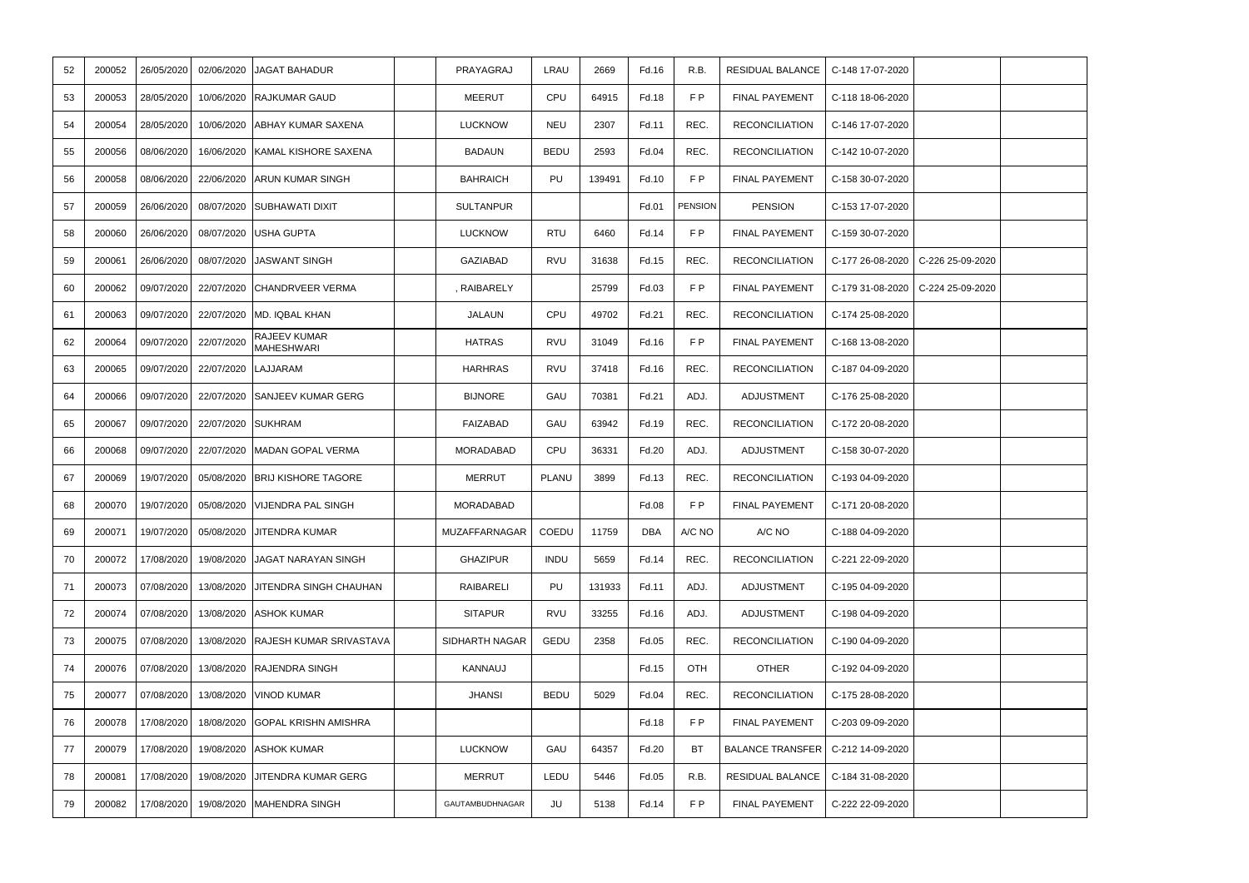| 52 | 200052 | 26/05/2020 | 02/06/2020 | <b>JAGAT BAHADUR</b>               | PRAYAGRAJ        | LRAU        | 2669   | Fd.16 | R.B.           | RESIDUAL BALANCE        | C-148 17-07-2020 |                   |  |
|----|--------|------------|------------|------------------------------------|------------------|-------------|--------|-------|----------------|-------------------------|------------------|-------------------|--|
| 53 | 200053 | 28/05/2020 | 10/06/2020 | <b>RAJKUMAR GAUD</b>               | <b>MEERUT</b>    | CPU         | 64915  | Fd.18 | FP             | <b>FINAL PAYEMENT</b>   | C-118 18-06-2020 |                   |  |
| 54 | 200054 | 28/05/2020 |            | 10/06/2020 ABHAY KUMAR SAXENA      | <b>LUCKNOW</b>   | <b>NEU</b>  | 2307   | Fd.11 | REC.           | <b>RECONCILIATION</b>   | C-146 17-07-2020 |                   |  |
| 55 | 200056 | 08/06/2020 | 16/06/2020 | KAMAL KISHORE SAXENA               | <b>BADAUN</b>    | <b>BEDU</b> | 2593   | Fd.04 | REC.           | <b>RECONCILIATION</b>   | C-142 10-07-2020 |                   |  |
| 56 | 200058 | 08/06/2020 |            | 22/06/2020 ARUN KUMAR SINGH        | <b>BAHRAICH</b>  | PU          | 139491 | Fd.10 | F P            | <b>FINAL PAYEMENT</b>   | C-158 30-07-2020 |                   |  |
| 57 | 200059 | 26/06/2020 |            | 08/07/2020 SUBHAWATI DIXIT         | <b>SULTANPUR</b> |             |        | Fd.01 | <b>PENSION</b> | <b>PENSION</b>          | C-153 17-07-2020 |                   |  |
| 58 | 200060 | 26/06/2020 |            | 08/07/2020 USHA GUPTA              | <b>LUCKNOW</b>   | <b>RTU</b>  | 6460   | Fd.14 | FP             | <b>FINAL PAYEMENT</b>   | C-159 30-07-2020 |                   |  |
| 59 | 200061 | 26/06/2020 |            | 08/07/2020 JASWANT SINGH           | GAZIABAD         | <b>RVU</b>  | 31638  | Fd.15 | REC.           | <b>RECONCILIATION</b>   | C-177 26-08-2020 | C-226 25-09-2020  |  |
| 60 | 200062 | 09/07/2020 |            | 22/07/2020 CHANDRVEER VERMA        | , RAIBARELY      |             | 25799  | Fd.03 | FP             | <b>FINAL PAYEMENT</b>   | C-179 31-08-2020 | $C-22425-09-2020$ |  |
| 61 | 200063 | 09/07/2020 | 22/07/2020 | MD. IQBAL KHAN                     | JALAUN           | CPU         | 49702  | Fd.21 | REC.           | <b>RECONCILIATION</b>   | C-174 25-08-2020 |                   |  |
| 62 | 200064 | 09/07/2020 | 22/07/2020 | RAJEEV KUMAR<br><b>MAHESHWARI</b>  | <b>HATRAS</b>    | <b>RVU</b>  | 31049  | Fd.16 | F P            | <b>FINAL PAYEMENT</b>   | C-168 13-08-2020 |                   |  |
| 63 | 200065 | 09/07/2020 | 22/07/2020 | LAJJARAM                           | <b>HARHRAS</b>   | RVU         | 37418  | Fd.16 | REC.           | <b>RECONCILIATION</b>   | C-187 04-09-2020 |                   |  |
| 64 | 200066 | 09/07/2020 | 22/07/2020 | <b>SANJEEV KUMAR GERG</b>          | <b>BIJNORE</b>   | GAU         | 70381  | Fd.21 | ADJ.           | <b>ADJUSTMENT</b>       | C-176 25-08-2020 |                   |  |
| 65 | 200067 | 09/07/2020 | 22/07/2020 | <b>SUKHRAM</b>                     | FAIZABAD         | GAU         | 63942  | Fd.19 | REC.           | <b>RECONCILIATION</b>   | C-172 20-08-2020 |                   |  |
| 66 | 200068 | 09/07/2020 |            | 22/07/2020 MADAN GOPAL VERMA       | MORADABAD        | CPU         | 36331  | Fd.20 | ADJ.           | ADJUSTMENT              | C-158 30-07-2020 |                   |  |
| 67 | 200069 | 19/07/2020 | 05/08/2020 | <b>BRIJ KISHORE TAGORE</b>         | <b>MERRUT</b>    | PLANU       | 3899   | Fd.13 | REC.           | <b>RECONCILIATION</b>   | C-193 04-09-2020 |                   |  |
| 68 | 200070 | 19/07/2020 | 05/08/2020 | <b>VIJENDRA PAL SINGH</b>          | MORADABAD        |             |        | Fd.08 | F P            | <b>FINAL PAYEMENT</b>   | C-171 20-08-2020 |                   |  |
| 69 | 200071 | 19/07/2020 |            | 05/08/2020 JITENDRA KUMAR          | MUZAFFARNAGAR    | COEDU       | 11759  | DBA   | A/C NO         | A/C NO                  | C-188 04-09-2020 |                   |  |
| 70 | 200072 | 17/08/2020 |            | 19/08/2020 JAGAT NARAYAN SINGH     | <b>GHAZIPUR</b>  | <b>INDU</b> | 5659   | Fd.14 | REC.           | <b>RECONCILIATION</b>   | C-221 22-09-2020 |                   |  |
| 71 | 200073 | 07/08/2020 | 13/08/2020 | <b>JITENDRA SINGH CHAUHAN</b>      | RAIBARELI        | PU          | 131933 | Fd.11 | ADJ.           | ADJUSTMENT              | C-195 04-09-2020 |                   |  |
| 72 | 200074 | 07/08/2020 |            | 13/08/2020 ASHOK KUMAR             | <b>SITAPUR</b>   | RVU         | 33255  | Fd.16 | ADJ.           | <b>ADJUSTMENT</b>       | C-198 04-09-2020 |                   |  |
| 73 | 200075 | 07/08/2020 |            | 13/08/2020 RAJESH KUMAR SRIVASTAVA | SIDHARTH NAGAR   | GEDU        | 2358   | Fd.05 | REC.           | <b>RECONCILIATION</b>   | C-190 04-09-2020 |                   |  |
| 74 | 200076 | 07/08/2020 | 13/08/2020 | <b>RAJENDRA SINGH</b>              | KANNAUJ          |             |        | Fd.15 | OTH            | <b>OTHER</b>            | C-192 04-09-2020 |                   |  |
| 75 | 200077 | 07/08/2020 | 13/08/2020 | <b>VINOD KUMAR</b>                 | <b>JHANSI</b>    | <b>BEDU</b> | 5029   | Fd.04 | REC.           | <b>RECONCILIATION</b>   | C-175 28-08-2020 |                   |  |
| 76 | 200078 | 17/08/2020 |            | 18/08/2020 GOPAL KRISHN AMISHRA    |                  |             |        | Fd.18 | F P            | FINAL PAYEMENT          | C-203 09-09-2020 |                   |  |
| 77 | 200079 | 17/08/2020 |            | 19/08/2020 ASHOK KUMAR             | <b>LUCKNOW</b>   | GAU         | 64357  | Fd.20 | BT             | <b>BALANCE TRANSFER</b> | C-212 14-09-2020 |                   |  |
| 78 | 200081 | 17/08/2020 |            | 19/08/2020 JITENDRA KUMAR GERG     | <b>MERRUT</b>    | LEDU        | 5446   | Fd.05 | R.B.           | RESIDUAL BALANCE        | C-184 31-08-2020 |                   |  |
| 79 | 200082 | 17/08/2020 | 19/08/2020 | MAHENDRA SINGH                     | GAUTAMBUDHNAGAR  | JU          | 5138   | Fd.14 | F P            | FINAL PAYEMENT          | C-222 22-09-2020 |                   |  |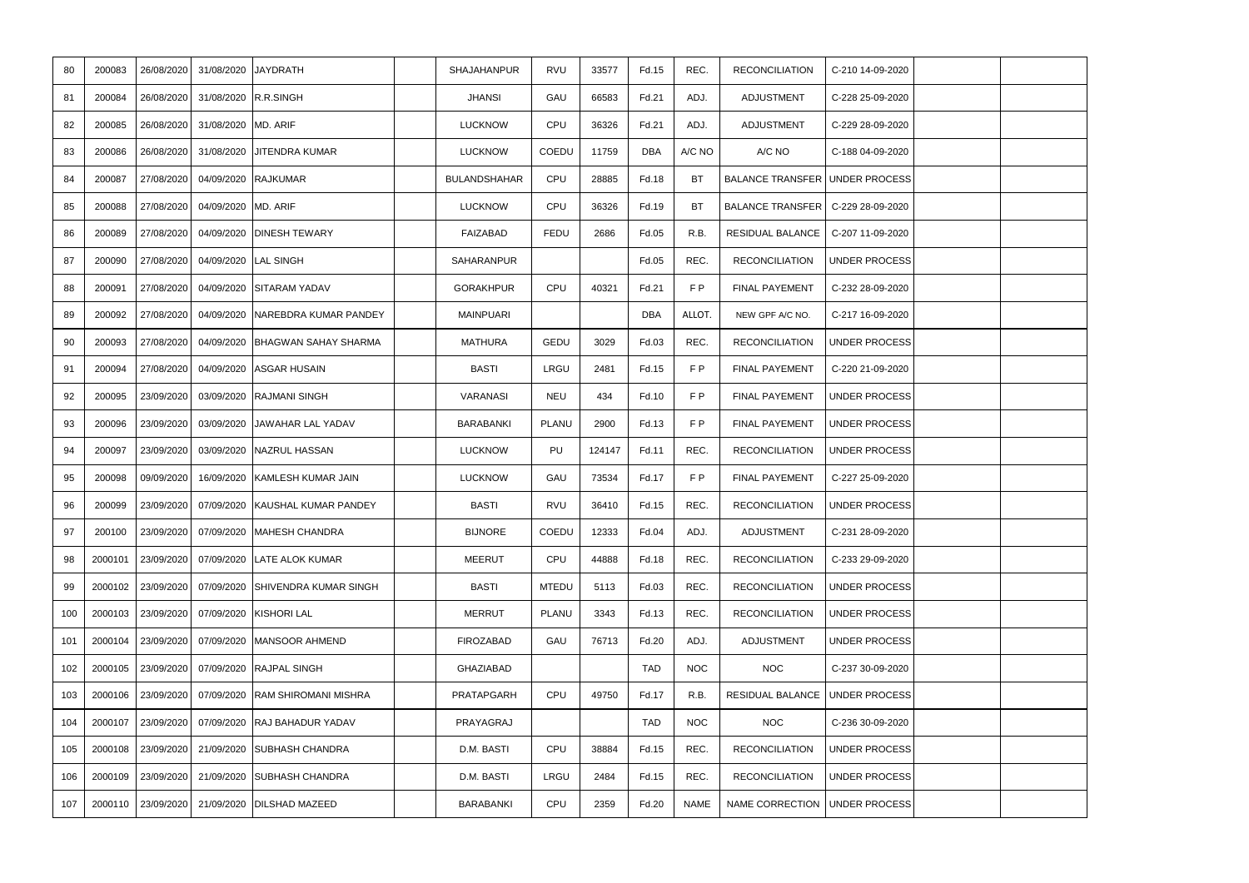| 80  | 200083  | 26/08/2020 | 31/08/2020 JAYDRATH |                              | SHAJAHANPUR         | <b>RVU</b>   | 33577  | Fd.15      | REC.        | <b>RECONCILIATION</b>                 | C-210 14-09-2020     |  |
|-----|---------|------------|---------------------|------------------------------|---------------------|--------------|--------|------------|-------------|---------------------------------------|----------------------|--|
| 81  | 200084  | 26/08/2020 | 31/08/2020          | R.R.SINGH                    | <b>JHANSI</b>       | GAU          | 66583  | Fd.21      | ADJ.        | ADJUSTMENT                            | C-228 25-09-2020     |  |
| 82  | 200085  | 26/08/2020 | 31/08/2020          | MD. ARIF                     | <b>LUCKNOW</b>      | CPU          | 36326  | Fd.21      | ADJ.        | ADJUSTMENT                            | C-229 28-09-2020     |  |
| 83  | 200086  | 26/08/2020 |                     | 31/08/2020 JITENDRA KUMAR    | <b>LUCKNOW</b>      | COEDU        | 11759  | <b>DBA</b> | A/C NO      | A/C NO                                | C-188 04-09-2020     |  |
| 84  | 200087  | 27/08/2020 | 04/09/2020          | <b>RAJKUMAR</b>              | <b>BULANDSHAHAR</b> | CPU          | 28885  | Fd.18      | <b>BT</b>   | <b>BALANCE TRANSFER UNDER PROCESS</b> |                      |  |
| 85  | 200088  | 27/08/2020 | 04/09/2020 MD. ARIF |                              | <b>LUCKNOW</b>      | CPU          | 36326  | Fd.19      | <b>BT</b>   | BALANCE TRANSFER   C-229 28-09-2020   |                      |  |
| 86  | 200089  | 27/08/2020 | 04/09/2020          | <b>DINESH TEWARY</b>         | FAIZABAD            | FEDU         | 2686   | Fd.05      | R.B.        | RESIDUAL BALANCE                      | C-207 11-09-2020     |  |
| 87  | 200090  | 27/08/2020 | 04/09/2020          | <b>LAL SINGH</b>             | SAHARANPUR          |              |        | Fd.05      | REC.        | <b>RECONCILIATION</b>                 | <b>UNDER PROCESS</b> |  |
| 88  | 200091  | 27/08/2020 |                     | 04/09/2020 SITARAM YADAV     | <b>GORAKHPUR</b>    | CPU          | 40321  | Fd.21      | FP          | <b>FINAL PAYEMENT</b>                 | C-232 28-09-2020     |  |
| 89  | 200092  | 27/08/2020 | 04/09/2020          | <b>NAREBDRA KUMAR PANDEY</b> | <b>MAINPUARI</b>    |              |        | <b>DBA</b> | ALLOT.      | NEW GPF A/C NO.                       | C-217 16-09-2020     |  |
| 90  | 200093  | 27/08/2020 | 04/09/2020          | <b>BHAGWAN SAHAY SHARMA</b>  | <b>MATHURA</b>      | GEDU         | 3029   | Fd.03      | REC.        | <b>RECONCILIATION</b>                 | <b>UNDER PROCESS</b> |  |
| 91  | 200094  | 27/08/2020 |                     | 04/09/2020 ASGAR HUSAIN      | <b>BASTI</b>        | LRGU         | 2481   | Fd.15      | F P         | FINAL PAYEMENT                        | C-220 21-09-2020     |  |
| 92  | 200095  | 23/09/2020 | 03/09/2020          | <b>RAJMANI SINGH</b>         | VARANASI            | <b>NEU</b>   | 434    | Fd.10      | FP          | <b>FINAL PAYEMENT</b>                 | <b>UNDER PROCESS</b> |  |
| 93  | 200096  | 23/09/2020 |                     | 03/09/2020 JAWAHAR LAL YADAV | BARABANKI           | PLANU        | 2900   | Fd.13      | FP          | FINAL PAYEMENT                        | <b>UNDER PROCESS</b> |  |
| 94  | 200097  | 23/09/2020 | 03/09/2020          | NAZRUL HASSAN                | <b>LUCKNOW</b>      | PU           | 124147 | Fd.11      | REC.        | <b>RECONCILIATION</b>                 | <b>UNDER PROCESS</b> |  |
| 95  | 200098  | 09/09/2020 | 16/09/2020          | KAMLESH KUMAR JAIN           | <b>LUCKNOW</b>      | GAU          | 73534  | Fd.17      | F P         | <b>FINAL PAYEMENT</b>                 | C-227 25-09-2020     |  |
| 96  | 200099  | 23/09/2020 | 07/09/2020          | <b>KAUSHAL KUMAR PANDEY</b>  | <b>BASTI</b>        | <b>RVU</b>   | 36410  | Fd.15      | REC.        | <b>RECONCILIATION</b>                 | <b>UNDER PROCESS</b> |  |
| 97  | 200100  | 23/09/2020 | 07/09/2020          | MAHESH CHANDRA               | <b>BIJNORE</b>      | COEDU        | 12333  | Fd.04      | ADJ.        | ADJUSTMENT                            | C-231 28-09-2020     |  |
| 98  | 2000101 | 23/09/2020 | 07/09/2020          | <b>LATE ALOK KUMAR</b>       | <b>MEERUT</b>       | CPU          | 44888  | Fd.18      | REC.        | <b>RECONCILIATION</b>                 | C-233 29-09-2020     |  |
| 99  | 2000102 | 23/09/2020 | 07/09/2020          | <b>SHIVENDRA KUMAR SINGH</b> | <b>BASTI</b>        | <b>MTEDU</b> | 5113   | Fd.03      | REC.        | <b>RECONCILIATION</b>                 | <b>UNDER PROCESS</b> |  |
| 100 | 2000103 | 23/09/2020 | 07/09/2020          | <b>KISHORI LAL</b>           | MERRUT              | PLANU        | 3343   | Fd.13      | REC.        | <b>RECONCILIATION</b>                 | <b>UNDER PROCESS</b> |  |
| 101 | 2000104 | 23/09/2020 | 07/09/2020          | MANSOOR AHMEND               | <b>FIROZABAD</b>    | GAU          | 76713  | Fd.20      | ADJ.        | <b>ADJUSTMENT</b>                     | <b>UNDER PROCESS</b> |  |
| 102 | 2000105 | 23/09/2020 | 07/09/2020          | <b>RAJPAL SINGH</b>          | <b>GHAZIABAD</b>    |              |        | <b>TAD</b> | <b>NOC</b>  | <b>NOC</b>                            | C-237 30-09-2020     |  |
| 103 | 2000106 | 23/09/2020 | 07/09/2020          | RAM SHIROMANI MISHRA         | PRATAPGARH          | CPU          | 49750  | Fd.17      | R.B.        | RESIDUAL BALANCE   UNDER PROCESS      |                      |  |
| 104 | 2000107 | 23/09/2020 | 07/09/2020          | <b>RAJ BAHADUR YADAV</b>     | PRAYAGRAJ           |              |        | <b>TAD</b> | <b>NOC</b>  | <b>NOC</b>                            | C-236 30-09-2020     |  |
| 105 | 2000108 | 23/09/2020 | 21/09/2020          | <b>SUBHASH CHANDRA</b>       | D.M. BASTI          | CPU          | 38884  | Fd.15      | REC.        | <b>RECONCILIATION</b>                 | <b>UNDER PROCESS</b> |  |
| 106 | 2000109 | 23/09/2020 |                     | 21/09/2020 SUBHASH CHANDRA   | D.M. BASTI          | LRGU         | 2484   | Fd.15      | REC.        | <b>RECONCILIATION</b>                 | <b>UNDER PROCESS</b> |  |
| 107 | 2000110 | 23/09/2020 | 21/09/2020          | <b>DILSHAD MAZEED</b>        | BARABANKI           | CPU          | 2359   | Fd.20      | <b>NAME</b> | NAME CORRECTION   UNDER PROCESS       |                      |  |